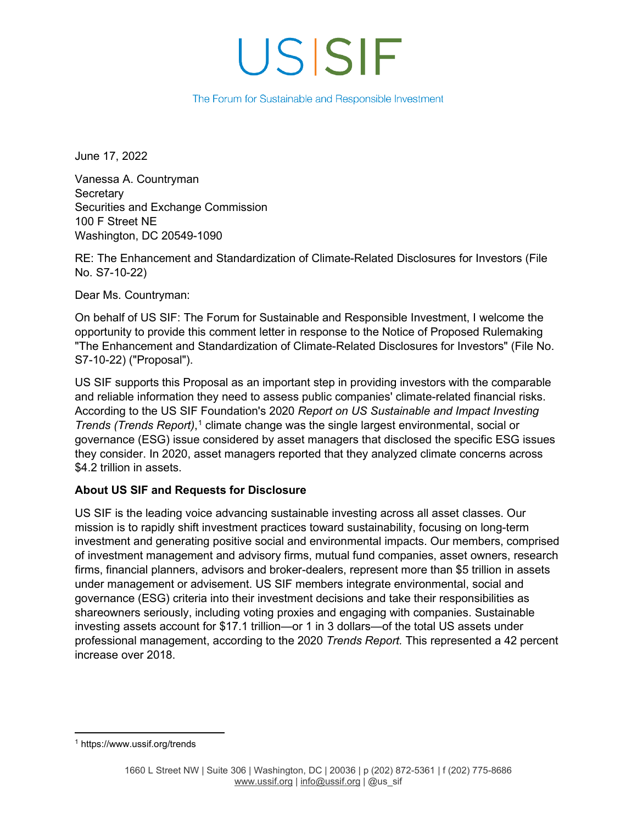# USISIF

#### The Forum for Sustainable and Responsible Investment

June 17, 2022

Vanessa A. Countryman **Secretary** Securities and Exchange Commission 100 F Street NE Washington, DC 20549-1090

RE: The Enhancement and Standardization of Climate-Related Disclosures for Investors (File No. S7-10-22)

Dear Ms. Countryman:

On behalf of US SIF: The Forum for Sustainable and Responsible Investment, I welcome the opportunity to provide this comment letter in response to the Notice of Proposed Rulemaking "The Enhancement and Standardization of Climate-Related Disclosures for Investors" (File No. S7-10-22) ("Proposal").

US SIF supports this Proposal as an important step in providing investors with the comparable and reliable information they need to assess public companies' climate-related financial risks. According to the US SIF Foundation's 2020 *Report on US Sustainable and Impact Investing Trends (Trends Report)*, [1](#page-0-0) climate change was the single largest environmental, social or governance (ESG) issue considered by asset managers that disclosed the specific ESG issues they consider. In 2020, asset managers reported that they analyzed climate concerns across \$4.2 trillion in assets.

### **About US SIF and Requests for Disclosure**

US SIF is the leading voice advancing sustainable investing across all asset classes. Our mission is to rapidly shift investment practices toward sustainability, focusing on long-term investment and generating positive social and environmental impacts. Our members, comprised of investment management and advisory firms, mutual fund companies, asset owners, research firms, financial planners, advisors and broker-dealers, represent more than \$5 trillion in assets under management or advisement. US SIF members integrate environmental, social and governance (ESG) criteria into their investment decisions and take their responsibilities as shareowners seriously, including voting proxies and engaging with companies. Sustainable investing assets account for \$17.1 trillion—or 1 in 3 dollars—of the total US assets under professional management, according to the 2020 *Trends Report.* This represented a 42 percent increase over 2018.

<span id="page-0-0"></span><sup>1</sup> https://www.ussif.org/trends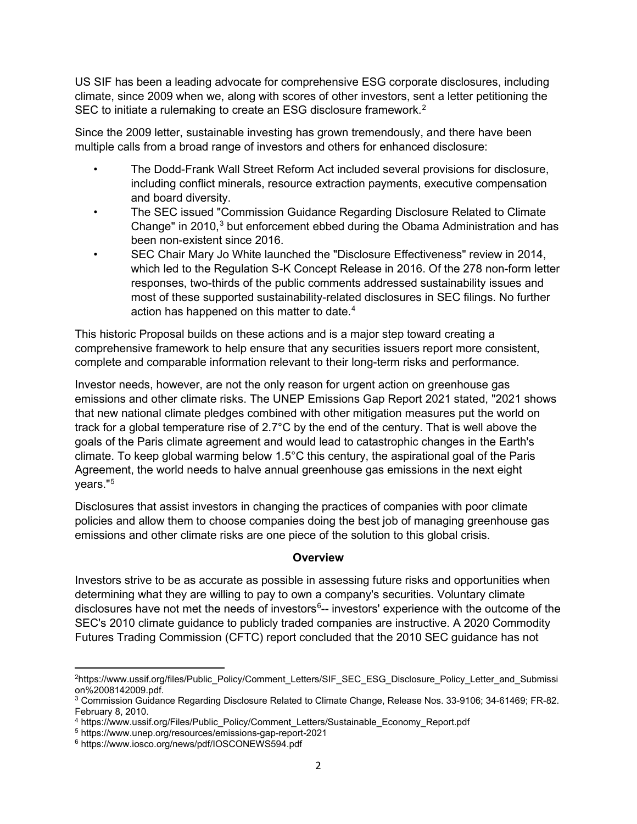US SIF has been a leading advocate for comprehensive ESG corporate disclosures, including climate, since 2009 when we, along with scores of other investors, sent a letter petitioning the SEC to initiate a rulemaking to create an ESG disclosure framework.<sup>[2](#page-1-0)</sup>

Since the 2009 letter, sustainable investing has grown tremendously, and there have been multiple calls from a broad range of investors and others for enhanced disclosure:

- The Dodd-Frank Wall Street Reform Act included several provisions for disclosure, including conflict minerals, resource extraction payments, executive compensation and board diversity.
- The SEC issued "Commission Guidance Regarding Disclosure Related to Climate Change" in  $2010<sup>3</sup>$  $2010<sup>3</sup>$  $2010<sup>3</sup>$  but enforcement ebbed during the Obama Administration and has been non-existent since 2016.
- SEC Chair Mary Jo White launched the "Disclosure Effectiveness" review in 2014, which led to the Regulation S-K Concept Release in 2016. Of the 278 non-form letter responses, two-thirds of the public comments addressed sustainability issues and most of these supported sustainability-related disclosures in SEC filings. No further action has happened on this matter to date.<sup>[4](#page-1-2)</sup>

This historic Proposal builds on these actions and is a major step toward creating a comprehensive framework to help ensure that any securities issuers report more consistent, complete and comparable information relevant to their long-term risks and performance.

Investor needs, however, are not the only reason for urgent action on greenhouse gas emissions and other climate risks. The UNEP Emissions Gap Report 2021 stated, "2021 shows that new national climate pledges combined with other mitigation measures put the world on track for a global temperature rise of 2.7°C by the end of the century. That is well above the goals of the Paris climate agreement and would lead to catastrophic changes in the Earth's climate. To keep global warming below 1.5°C this century, the aspirational goal of the Paris Agreement, the world needs to halve annual greenhouse gas emissions in the next eight years."[5](#page-1-3)

Disclosures that assist investors in changing the practices of companies with poor climate policies and allow them to choose companies doing the best job of managing greenhouse gas emissions and other climate risks are one piece of the solution to this global crisis.

### **Overview**

Investors strive to be as accurate as possible in assessing future risks and opportunities when determining what they are willing to pay to own a company's securities. Voluntary climate disclosures have not met the needs of investors $^6$  $^6$ -- investors' experience with the outcome of the SEC's 2010 climate guidance to publicly traded companies are instructive. A 2020 Commodity Futures Trading Commission (CFTC) report concluded that the 2010 SEC guidance has not

<span id="page-1-0"></span><sup>2</sup>https://www.ussif.org/files/Public\_Policy/Comment\_Letters/SIF\_SEC\_ESG\_Disclosure\_Policy\_Letter\_and\_Submissi on%2008142009.pdf.

<span id="page-1-1"></span><sup>3</sup> Commission Guidance Regarding Disclosure Related to Climate Change, Release Nos. 33-9106; 34-61469; FR-82. February 8, 2010.

<span id="page-1-2"></span><sup>4</sup> https://www.ussif.org/Files/Public\_Policy/Comment\_Letters/Sustainable\_Economy\_Report.pdf

<span id="page-1-3"></span><sup>5</sup> https://www.unep.org/resources/emissions-gap-report-2021

<span id="page-1-4"></span><sup>6</sup> https://www.iosco.org/news/pdf/IOSCONEWS594.pdf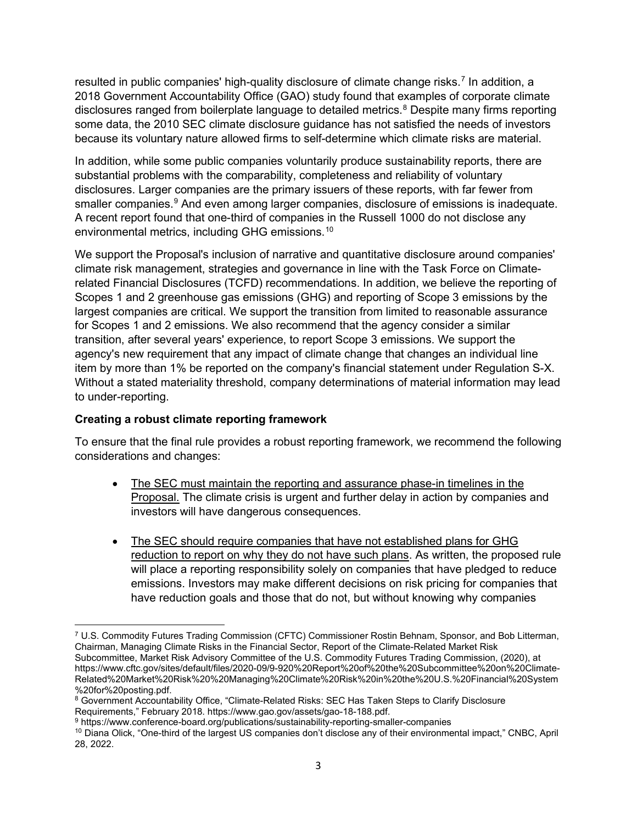resulted in public companies' high-quality disclosure of climate change risks.<sup>[7](#page-2-0)</sup> In addition, a 2018 Government Accountability Office (GAO) study found that examples of corporate climate disclosures ranged from boilerplate language to detailed metrics.<sup>[8](#page-2-1)</sup> Despite many firms reporting some data, the 2010 SEC climate disclosure guidance has not satisfied the needs of investors because its voluntary nature allowed firms to self-determine which climate risks are material.

In addition, while some public companies voluntarily produce sustainability reports, there are substantial problems with the comparability, completeness and reliability of voluntary disclosures. Larger companies are the primary issuers of these reports, with far fewer from smaller companies.<sup>[9](#page-2-2)</sup> And even among larger companies, disclosure of emissions is inadequate. A recent report found that one-third of companies in the Russell 1000 do not disclose any environmental metrics, including GHG emissions.[10](#page-2-3)

We support the Proposal's inclusion of narrative and quantitative disclosure around companies' climate risk management, strategies and governance in line with the Task Force on Climaterelated Financial Disclosures (TCFD) recommendations. In addition, we believe the reporting of Scopes 1 and 2 greenhouse gas emissions (GHG) and reporting of Scope 3 emissions by the largest companies are critical. We support the transition from limited to reasonable assurance for Scopes 1 and 2 emissions. We also recommend that the agency consider a similar transition, after several years' experience, to report Scope 3 emissions. We support the agency's new requirement that any impact of climate change that changes an individual line item by more than 1% be reported on the company's financial statement under Regulation S-X. Without a stated materiality threshold, company determinations of material information may lead to under-reporting.

### **Creating a robust climate reporting framework**

To ensure that the final rule provides a robust reporting framework, we recommend the following considerations and changes:

- The SEC must maintain the reporting and assurance phase-in timelines in the Proposal. The climate crisis is urgent and further delay in action by companies and investors will have dangerous consequences.
- The SEC should require companies that have not established plans for GHG reduction to report on why they do not have such plans. As written, the proposed rule will place a reporting responsibility solely on companies that have pledged to reduce emissions. Investors may make different decisions on risk pricing for companies that have reduction goals and those that do not, but without knowing why companies

<span id="page-2-0"></span><sup>7</sup> U.S. Commodity Futures Trading Commission (CFTC) Commissioner Rostin Behnam, Sponsor, and Bob Litterman, Chairman, Managing Climate Risks in the Financial Sector, Report of the Climate-Related Market Risk Subcommittee, Market Risk Advisory Committee of the U.S. Commodity Futures Trading Commission, (2020), at https://www.cftc.gov/sites/default/files/2020-09/9-920%20Report%20of%20the%20Subcommittee%20on%20Climate-Related%20Market%20Risk%20%20Managing%20Climate%20Risk%20in%20the%20U.S.%20Financial%20System %20for%20posting.pdf.

<span id="page-2-1"></span><sup>&</sup>lt;sup>8</sup> Government Accountability Office, "Climate-Related Risks: SEC Has Taken Steps to Clarify Disclosure<br>Requirements." February 2018, https://www.gao.gov/assets/gao-18-188.pdf.

<span id="page-2-2"></span><sup>&</sup>lt;sup>9</sup> https://www.conference-board.org/publications/sustainability-reporting-smaller-companies

<span id="page-2-3"></span><sup>10</sup> Diana Olick, "One-third of the largest US companies don't disclose any of their environmental impact," CNBC, April 28, 2022.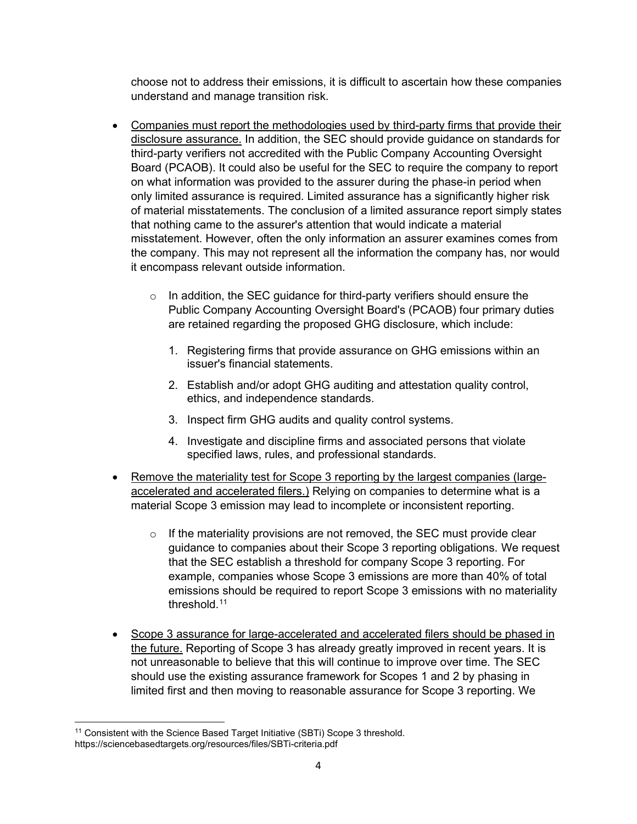choose not to address their emissions, it is difficult to ascertain how these companies understand and manage transition risk.

- Companies must report the methodologies used by third-party firms that provide their disclosure assurance. In addition, the SEC should provide guidance on standards for third-party verifiers not accredited with the Public Company Accounting Oversight Board (PCAOB). It could also be useful for the SEC to require the company to report on what information was provided to the assurer during the phase-in period when only limited assurance is required. Limited assurance has a significantly higher risk of material misstatements. The conclusion of a limited assurance report simply states that nothing came to the assurer's attention that would indicate a material misstatement. However, often the only information an assurer examines comes from the company. This may not represent all the information the company has, nor would it encompass relevant outside information.
	- o In addition, the SEC guidance for third-party verifiers should ensure the Public Company Accounting Oversight Board's (PCAOB) four primary duties are retained regarding the proposed GHG disclosure, which include:
		- 1. Registering firms that provide assurance on GHG emissions within an issuer's financial statements.
		- 2. Establish and/or adopt GHG auditing and attestation quality control, ethics, and independence standards.
		- 3. Inspect firm GHG audits and quality control systems.
		- 4. Investigate and discipline firms and associated persons that violate specified laws, rules, and professional standards.
- Remove the materiality test for Scope 3 reporting by the largest companies (largeaccelerated and accelerated filers.) Relying on companies to determine what is a material Scope 3 emission may lead to incomplete or inconsistent reporting.
	- $\circ$  If the materiality provisions are not removed, the SEC must provide clear guidance to companies about their Scope 3 reporting obligations. We request that the SEC establish a threshold for company Scope 3 reporting. For example, companies whose Scope 3 emissions are more than 40% of total emissions should be required to report Scope 3 emissions with no materiality threshold.<sup>11</sup>
- Scope 3 assurance for large-accelerated and accelerated filers should be phased in the future. Reporting of Scope 3 has already greatly improved in recent years. It is not unreasonable to believe that this will continue to improve over time. The SEC should use the existing assurance framework for Scopes 1 and 2 by phasing in limited first and then moving to reasonable assurance for Scope 3 reporting. We

<span id="page-3-0"></span><sup>&</sup>lt;sup>11</sup> Consistent with the Science Based Target Initiative (SBTi) Scope 3 threshold. https://sciencebasedtargets.org/resources/files/SBTi-criteria.pdf